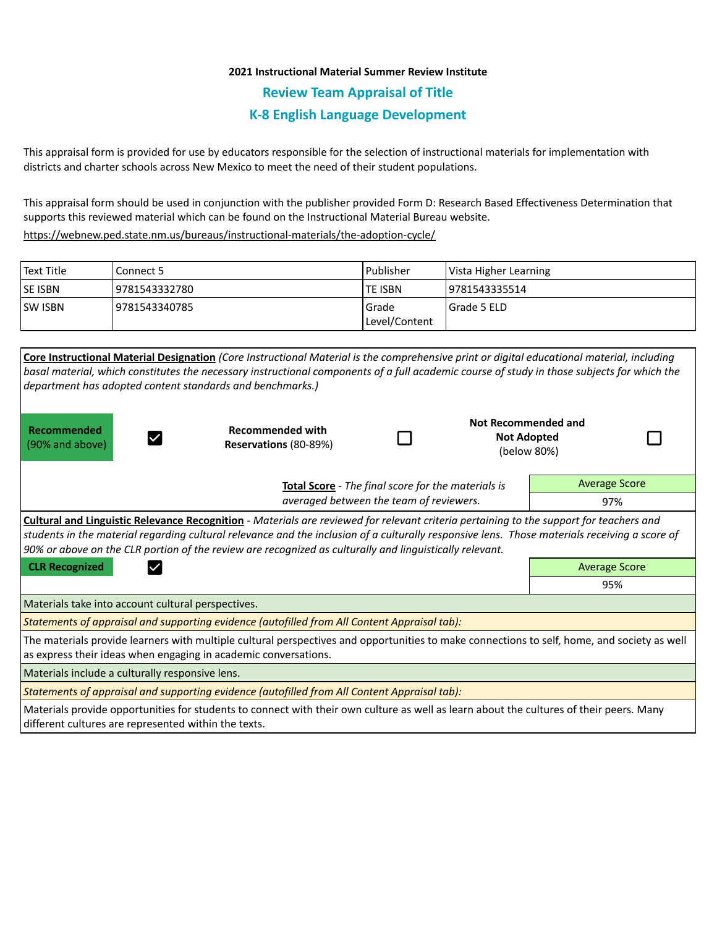## **2021 Instructional Material Summer Review Institute**

**Review Team Appraisal of Title**

# **K-8 English Language Development**

This appraisal form is provided for use by educators responsible for the selection of instructional materials for implementation with districts and charter schools across New Mexico to meet the need of their student populations.

This appraisal form should be used in conjunction with the publisher provided Form D: Research Based Effectiveness Determination that supports this reviewed material which can be found on the Instructional Material Bureau website.

<https://webnew.ped.state.nm.us/bureaus/instructional-materials/the-adoption-cycle/>

| <b>Text Title</b> | Connect 5      | l Publisher   | Vista Higher Learning |  |
|-------------------|----------------|---------------|-----------------------|--|
| <b>SE ISBN</b>    | 19781543332780 | lte ISBN      | 19781543335514        |  |
| <b>SW ISBN</b>    | 19781543340785 | Grade         | I Grade 5 ELD         |  |
|                   |                | Level/Content |                       |  |

| Core Instructional Material Designation (Core Instructional Material is the comprehensive print or digital educational material, including<br>basal material, which constitutes the necessary instructional components of a full academic course of study in those subjects for which the<br>department has adopted content standards and benchmarks.)                                                     |                                                  |  |                                                                 |                      |  |  |  |
|------------------------------------------------------------------------------------------------------------------------------------------------------------------------------------------------------------------------------------------------------------------------------------------------------------------------------------------------------------------------------------------------------------|--------------------------------------------------|--|-----------------------------------------------------------------|----------------------|--|--|--|
| Recommended<br>(90% and above)                                                                                                                                                                                                                                                                                                                                                                             | <b>Recommended with</b><br>Reservations (80-89%) |  | <b>Not Recommended and</b><br><b>Not Adopted</b><br>(below 80%) |                      |  |  |  |
| Total Score - The final score for the materials is                                                                                                                                                                                                                                                                                                                                                         |                                                  |  |                                                                 | <b>Average Score</b> |  |  |  |
| averaged between the team of reviewers.                                                                                                                                                                                                                                                                                                                                                                    |                                                  |  |                                                                 | 97%                  |  |  |  |
| <b>Cultural and Linguistic Relevance Recognition</b> - Materials are reviewed for relevant criteria pertaining to the support for teachers and<br>students in the material regarding cultural relevance and the inclusion of a culturally responsive lens. Those materials receiving a score of<br>90% or above on the CLR portion of the review are recognized as culturally and linguistically relevant. |                                                  |  |                                                                 |                      |  |  |  |
| <b>CLR Recognized</b>                                                                                                                                                                                                                                                                                                                                                                                      |                                                  |  |                                                                 | <b>Average Score</b> |  |  |  |
|                                                                                                                                                                                                                                                                                                                                                                                                            |                                                  |  |                                                                 | 95%                  |  |  |  |
| Materials take into account cultural perspectives.                                                                                                                                                                                                                                                                                                                                                         |                                                  |  |                                                                 |                      |  |  |  |
| Statements of appraisal and supporting evidence (autofilled from All Content Appraisal tab):                                                                                                                                                                                                                                                                                                               |                                                  |  |                                                                 |                      |  |  |  |
| The materials provide learners with multiple cultural perspectives and opportunities to make connections to self, home, and society as well<br>as express their ideas when engaging in academic conversations.                                                                                                                                                                                             |                                                  |  |                                                                 |                      |  |  |  |
| Materials include a culturally responsive lens.                                                                                                                                                                                                                                                                                                                                                            |                                                  |  |                                                                 |                      |  |  |  |
| Statements of appraisal and supporting evidence (autofilled from All Content Appraisal tab):                                                                                                                                                                                                                                                                                                               |                                                  |  |                                                                 |                      |  |  |  |
| Materials provide opportunities for students to connect with their own culture as well as learn about the cultures of their peers. Many<br>different cultures are represented within the texts.                                                                                                                                                                                                            |                                                  |  |                                                                 |                      |  |  |  |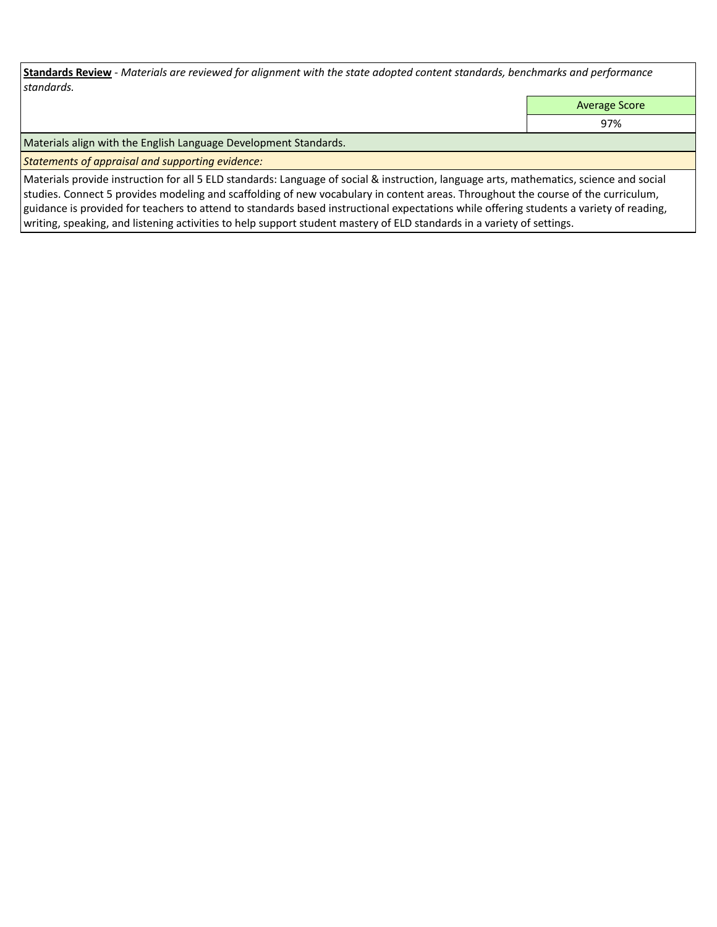**Standards Review** *- Materials are reviewed for alignment with the state adopted content standards, benchmarks and performance standards.*

Average Score

97%

Materials align with the English Language Development Standards.

*Statements of appraisal and supporting evidence:* 

Materials provide instruction for all 5 ELD standards: Language of social & instruction, language arts, mathematics, science and social studies. Connect 5 provides modeling and scaffolding of new vocabulary in content areas. Throughout the course of the curriculum, guidance is provided for teachers to attend to standards based instructional expectations while offering students a variety of reading, writing, speaking, and listening activities to help support student mastery of ELD standards in a variety of settings.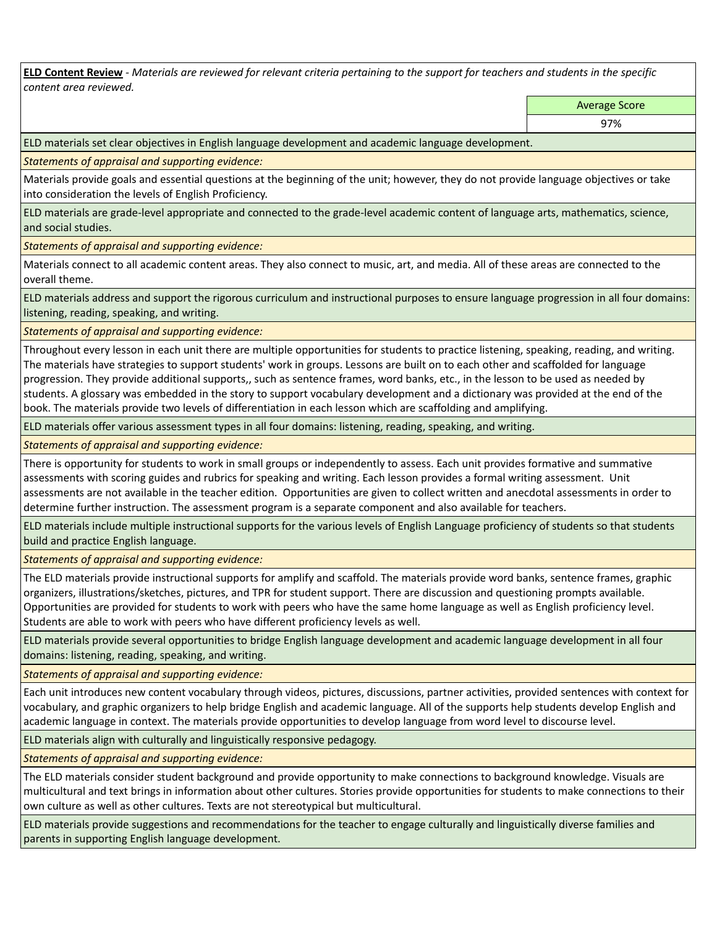**ELD Content Review** *- Materials are reviewed for relevant criteria pertaining to the support for teachers and students in the specific content area reviewed.*

Average Score

ELD materials set clear objectives in English language development and academic language development.

*Statements of appraisal and supporting evidence:* 

Materials provide goals and essential questions at the beginning of the unit; however, they do not provide language objectives or take into consideration the levels of English Proficiency.

ELD materials are grade-level appropriate and connected to the grade-level academic content of language arts, mathematics, science, and social studies.

*Statements of appraisal and supporting evidence:* 

Materials connect to all academic content areas. They also connect to music, art, and media. All of these areas are connected to the overall theme.

ELD materials address and support the rigorous curriculum and instructional purposes to ensure language progression in all four domains: listening, reading, speaking, and writing.

*Statements of appraisal and supporting evidence:* 

Throughout every lesson in each unit there are multiple opportunities for students to practice listening, speaking, reading, and writing. The materials have strategies to support students' work in groups. Lessons are built on to each other and scaffolded for language progression. They provide additional supports,, such as sentence frames, word banks, etc., in the lesson to be used as needed by students. A glossary was embedded in the story to support vocabulary development and a dictionary was provided at the end of the book. The materials provide two levels of differentiation in each lesson which are scaffolding and amplifying.

ELD materials offer various assessment types in all four domains: listening, reading, speaking, and writing.

*Statements of appraisal and supporting evidence:* 

There is opportunity for students to work in small groups or independently to assess. Each unit provides formative and summative assessments with scoring guides and rubrics for speaking and writing. Each lesson provides a formal writing assessment. Unit assessments are not available in the teacher edition. Opportunities are given to collect written and anecdotal assessments in order to determine further instruction. The assessment program is a separate component and also available for teachers.

ELD materials include multiple instructional supports for the various levels of English Language proficiency of students so that students build and practice English language.

*Statements of appraisal and supporting evidence:* 

The ELD materials provide instructional supports for amplify and scaffold. The materials provide word banks, sentence frames, graphic organizers, illustrations/sketches, pictures, and TPR for student support. There are discussion and questioning prompts available. Opportunities are provided for students to work with peers who have the same home language as well as English proficiency level. Students are able to work with peers who have different proficiency levels as well.

ELD materials provide several opportunities to bridge English language development and academic language development in all four domains: listening, reading, speaking, and writing.

*Statements of appraisal and supporting evidence:* 

Each unit introduces new content vocabulary through videos, pictures, discussions, partner activities, provided sentences with context for vocabulary, and graphic organizers to help bridge English and academic language. All of the supports help students develop English and academic language in context. The materials provide opportunities to develop language from word level to discourse level.

ELD materials align with culturally and linguistically responsive pedagogy.

*Statements of appraisal and supporting evidence:* 

The ELD materials consider student background and provide opportunity to make connections to background knowledge. Visuals are multicultural and text brings in information about other cultures. Stories provide opportunities for students to make connections to their own culture as well as other cultures. Texts are not stereotypical but multicultural.

ELD materials provide suggestions and recommendations for the teacher to engage culturally and linguistically diverse families and parents in supporting English language development.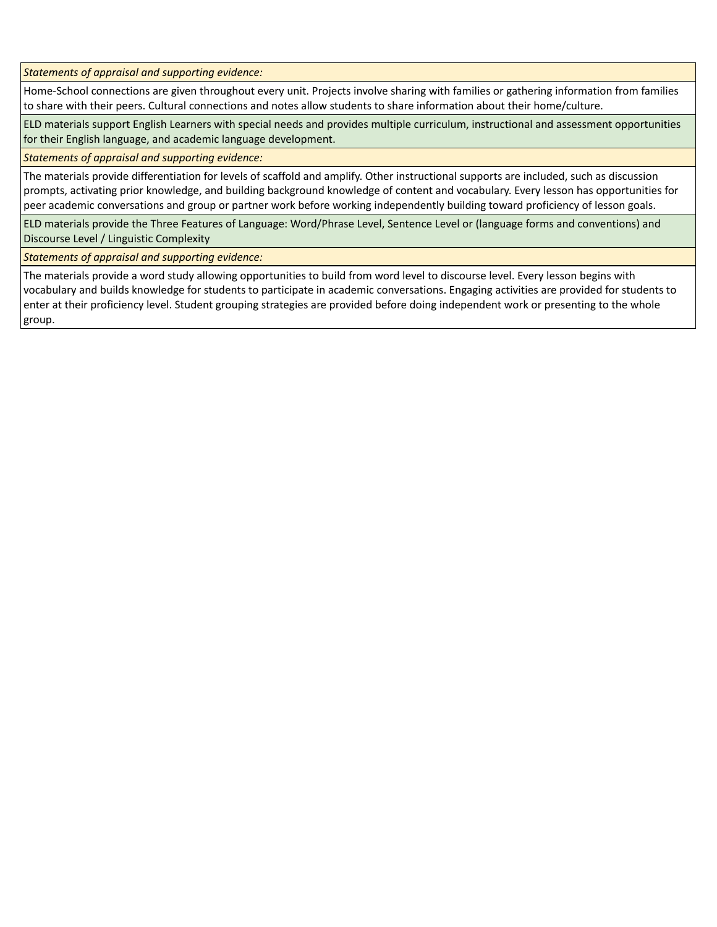*Statements of appraisal and supporting evidence:* 

Home-School connections are given throughout every unit. Projects involve sharing with families or gathering information from families to share with their peers. Cultural connections and notes allow students to share information about their home/culture.

ELD materials support English Learners with special needs and provides multiple curriculum, instructional and assessment opportunities for their English language, and academic language development.

*Statements of appraisal and supporting evidence:* 

The materials provide differentiation for levels of scaffold and amplify. Other instructional supports are included, such as discussion prompts, activating prior knowledge, and building background knowledge of content and vocabulary. Every lesson has opportunities for peer academic conversations and group or partner work before working independently building toward proficiency of lesson goals.

ELD materials provide the Three Features of Language: Word/Phrase Level, Sentence Level or (language forms and conventions) and Discourse Level / Linguistic Complexity

*Statements of appraisal and supporting evidence:* 

The materials provide a word study allowing opportunities to build from word level to discourse level. Every lesson begins with vocabulary and builds knowledge for students to participate in academic conversations. Engaging activities are provided for students to enter at their proficiency level. Student grouping strategies are provided before doing independent work or presenting to the whole group.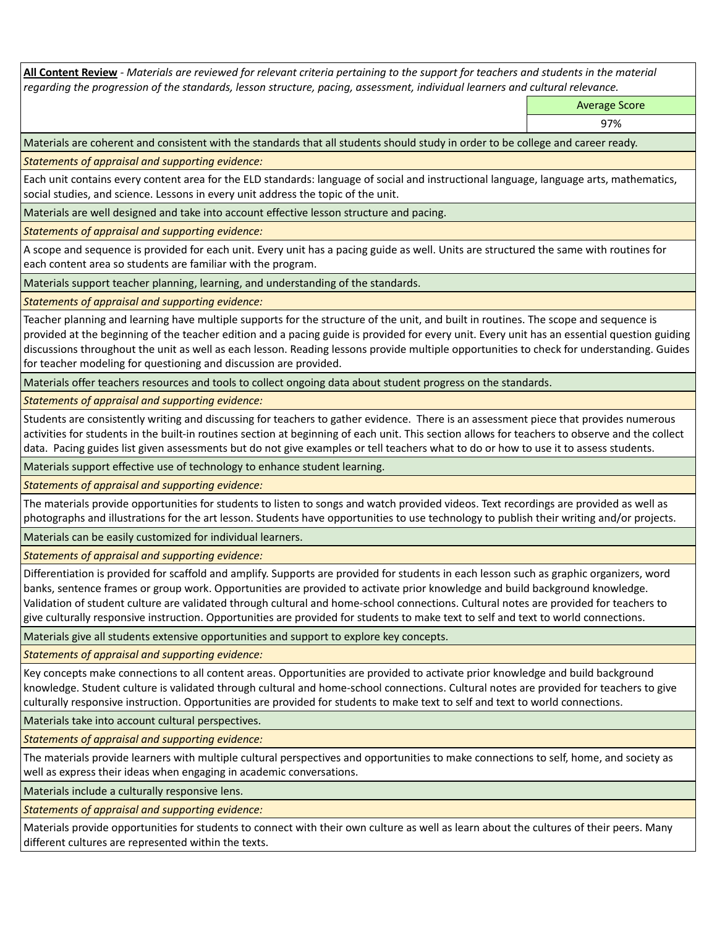**All Content Review** *- Materials are reviewed for relevant criteria pertaining to the support for teachers and students in the material regarding the progression of the standards, lesson structure, pacing, assessment, individual learners and cultural relevance.*

Average Score

97%

Materials are coherent and consistent with the standards that all students should study in order to be college and career ready.

*Statements of appraisal and supporting evidence:*

Each unit contains every content area for the ELD standards: language of social and instructional language, language arts, mathematics, social studies, and science. Lessons in every unit address the topic of the unit.

Materials are well designed and take into account effective lesson structure and pacing.

*Statements of appraisal and supporting evidence:*

A scope and sequence is provided for each unit. Every unit has a pacing guide as well. Units are structured the same with routines for each content area so students are familiar with the program.

Materials support teacher planning, learning, and understanding of the standards.

*Statements of appraisal and supporting evidence:*

Teacher planning and learning have multiple supports for the structure of the unit, and built in routines. The scope and sequence is provided at the beginning of the teacher edition and a pacing guide is provided for every unit. Every unit has an essential question guiding discussions throughout the unit as well as each lesson. Reading lessons provide multiple opportunities to check for understanding. Guides for teacher modeling for questioning and discussion are provided.

Materials offer teachers resources and tools to collect ongoing data about student progress on the standards.

*Statements of appraisal and supporting evidence:*

Students are consistently writing and discussing for teachers to gather evidence. There is an assessment piece that provides numerous activities for students in the built-in routines section at beginning of each unit. This section allows for teachers to observe and the collect data. Pacing guides list given assessments but do not give examples or tell teachers what to do or how to use it to assess students.

Materials support effective use of technology to enhance student learning.

*Statements of appraisal and supporting evidence:*

The materials provide opportunities for students to listen to songs and watch provided videos. Text recordings are provided as well as photographs and illustrations for the art lesson. Students have opportunities to use technology to publish their writing and/or projects.

Materials can be easily customized for individual learners.

*Statements of appraisal and supporting evidence:* 

Differentiation is provided for scaffold and amplify. Supports are provided for students in each lesson such as graphic organizers, word banks, sentence frames or group work. Opportunities are provided to activate prior knowledge and build background knowledge. Validation of student culture are validated through cultural and home-school connections. Cultural notes are provided for teachers to give culturally responsive instruction. Opportunities are provided for students to make text to self and text to world connections.

Materials give all students extensive opportunities and support to explore key concepts.

*Statements of appraisal and supporting evidence:*

Key concepts make connections to all content areas. Opportunities are provided to activate prior knowledge and build background knowledge. Student culture is validated through cultural and home-school connections. Cultural notes are provided for teachers to give culturally responsive instruction. Opportunities are provided for students to make text to self and text to world connections.

Materials take into account cultural perspectives.

*Statements of appraisal and supporting evidence:*

The materials provide learners with multiple cultural perspectives and opportunities to make connections to self, home, and society as well as express their ideas when engaging in academic conversations.

Materials include a culturally responsive lens.

*Statements of appraisal and supporting evidence:*

Materials provide opportunities for students to connect with their own culture as well as learn about the cultures of their peers. Many different cultures are represented within the texts.